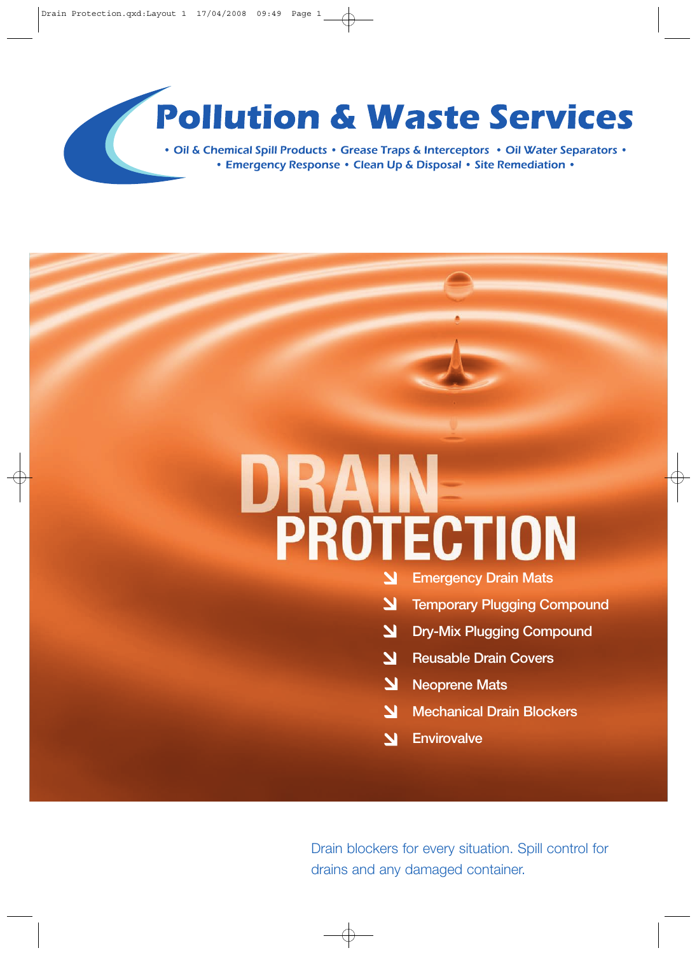# **Pollution & Waste Services**

• Oil & Chemical Spill Products • Grease Traps & Interceptors • Oil Water Separators • • Emergency Response • Clean Up & Disposal • Site Remediation •

# PROTECTION

- **Emergency Drain Mats** N
- $\overline{\mathbf{z}}$ **Temporary Plugging Compound**
- $\overline{\mathbf{M}}$ **Dry-Mix Plugging Compound**
- $\overline{\mathbf{M}}$ **Reusable Drain Covers**
- 7 **Neoprene Mats**
- **Mechanical Drain Blockers**  $\overline{\mathbf{M}}$
- **Envirovalve**  $\overline{\mathbf{M}}$

Drain blockers for every situation. Spill control for drains and any damaged container.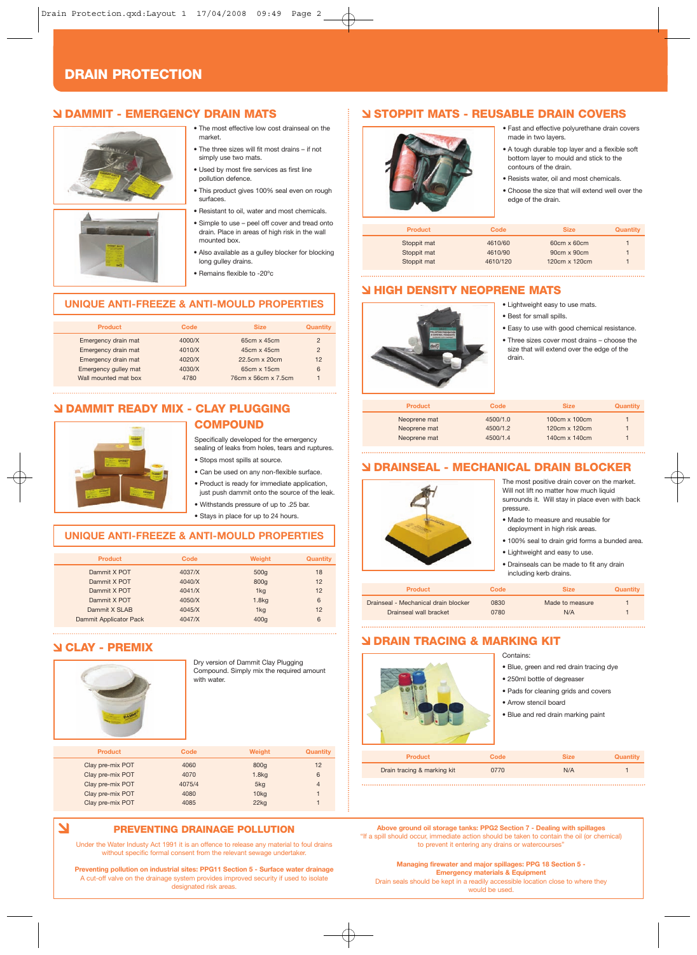#### **DRAIN PROTECTION**

#### **DAMMIT - EMERGENCY DRAIN MATS**



- The most effective low cost drainseal on the market. • The three sizes will fit most drains – if not
- simply use two mats.
- Used by most fire services as first line pollution defence.
- This product gives 100% seal even on rough surfaces.
- Resistant to oil, water and most chemicals.
- Simple to use peel off cover and tread onto drain. Place in areas of high risk in the wall mounted box.
- Also available as a gulley blocker for blocking long gulley drains.
- Remains flexible to -20ºc

#### **UNIQUE ANTI-FREEZE & ANTI-MOULD PROPERTIES**

| Code   | <b>Size</b>         | <b>Quantity</b> |
|--------|---------------------|-----------------|
| 4000/X | 65cm x 45cm         | $\overline{2}$  |
| 4010/X | 45cm x 45cm         | $\overline{2}$  |
| 4020/X | 22.5cm x 20cm       | 12              |
| 4030/X | 65cm x 15cm         | 6               |
| 4780   | 76cm x 56cm x 7.5cm |                 |
|        |                     |                 |

#### **DAMMIT READY MIX - CLAY PLUGGING COMPOUND**



#### Specifically developed for the emergency sealing of leaks from holes, tears and ruptures.

- Stops most spills at source.
- Can be used on any non-flexible surface. • Product is ready for immediate application, just push dammit onto the source of the leak.
- Withstands pressure of up to .25 bar.
- Stays in place for up to 24 hours.

#### **UNIQUE ANTI-FREEZE & ANTI-MOULD PROPERTIES**

| <b>Product</b>         | Code   | <b>Weight</b>     | Quantity |
|------------------------|--------|-------------------|----------|
| Dammit X POT           | 4037/X | 500q              | 18       |
| Dammit X POT           | 4040/X | 800g              | 12       |
| Dammit X POT           | 4041/X | 1kg               | 12       |
| Dammit X POT           | 4050/X | 1.8 <sub>kq</sub> | 6        |
| Dammit X SLAB          | 4045/X | 1kg               | 12       |
| Dammit Applicator Pack | 4047/X | 400g              | 6        |

#### **CLAY - PREMIX**

N

| <b>DAM</b>       | with water. | Dry version of Dammit Clay Plugging<br>Compound. Simply mix the required amount |                |
|------------------|-------------|---------------------------------------------------------------------------------|----------------|
| <b>Product</b>   | Code        | Weight                                                                          | Quantity       |
| Clay pre-mix POT | 4060        | 800g                                                                            | 12             |
| Clay pre-mix POT | 4070        | 1.8kg                                                                           | 6              |
| Clay pre-mix POT | 4075/4      | 5kg                                                                             | $\overline{4}$ |
| Clay pre-mix POT | 4080        | 10kg                                                                            | 1              |
| Clay pre-mix POT | 4085        | 22kg                                                                            | $\overline{1}$ |

#### **PREVENTING DRAINAGE POLLUTION**

Under the Water Industy Act 1991 it is an offence to release any material to foul drains without specific formal consent from the relevant sewage undertaker

**Preventing pollution on industrial sites: PPG11 Section 5 - Surface water drainage** A cut-off valve on the drainage system provides improved security if used to isolate designated risk areas.

#### **STOPPIT MATS - REUSABLE DRAIN COVERS**



#### • Fast and effective polyurethane drain covers made in two layers.

- A tough durable top layer and a flexible soft bottom layer to mould and stick to the
- contours of the drain.
	- Resists water, oil and most chemicals.
	- Choose the size that will extend well over the edge of the drain.

| <b>Product</b> | Code     | <b>Size</b>   | Quantity |
|----------------|----------|---------------|----------|
| Stoppit mat    | 4610/60  | 60cm x 60cm   |          |
| Stoppit mat    | 4610/90  | 90cm x 90cm   |          |
| Stoppit mat    | 4610/120 | 120cm x 120cm |          |

#### **HIGH DENSITY NEOPRENE MATS**

- Lightweight easy to use mats.
- Best for small spills.



- Easy to use with good chemical resistance.
- Three sizes cover most drains choose the size that will extend over the edge of the drain.

| <b>Product</b> | Code     | <b>Size</b>   | <b>Quantity</b> |
|----------------|----------|---------------|-----------------|
| Neoprene mat   | 4500/1.0 | 100cm x 100cm |                 |
| Neoprene mat   | 4500/1.2 | 120cm x 120cm |                 |
| Neoprene mat   | 4500/1.4 | 140cm x 140cm |                 |

#### **DRAINSEAL - MECHANICAL DRAIN BLOCKER**



| Drainseal wall bracket | 0780 | N/A |  |
|------------------------|------|-----|--|
|                        |      |     |  |

#### **DRAIN TRACING & MARKING KIT**



- Contains:
- Blue, green and red drain tracing dye
- 250ml bottle of degreaser
- Pads for cleaning grids and covers
- Arrow stencil board
- Blue and red drain marking paint

| <b>Product</b>              | Code | <b>Size</b> | Quantity |
|-----------------------------|------|-------------|----------|
| Drain tracing & marking kit | 0770 | N/A         |          |

- **Above ground oil storage tanks: PPG2 Section 7 Dealing with spillages** "If a spill should occur, immediate action should be taken to contain the oil (or chemical) to prevent it entering any drains or watercourses'
	- **Managing firewater and major spillages: PPG 18 Section 5 Emergency materials & Equipment** Drain seals should be kept in a readily accessible location close to where they would be used.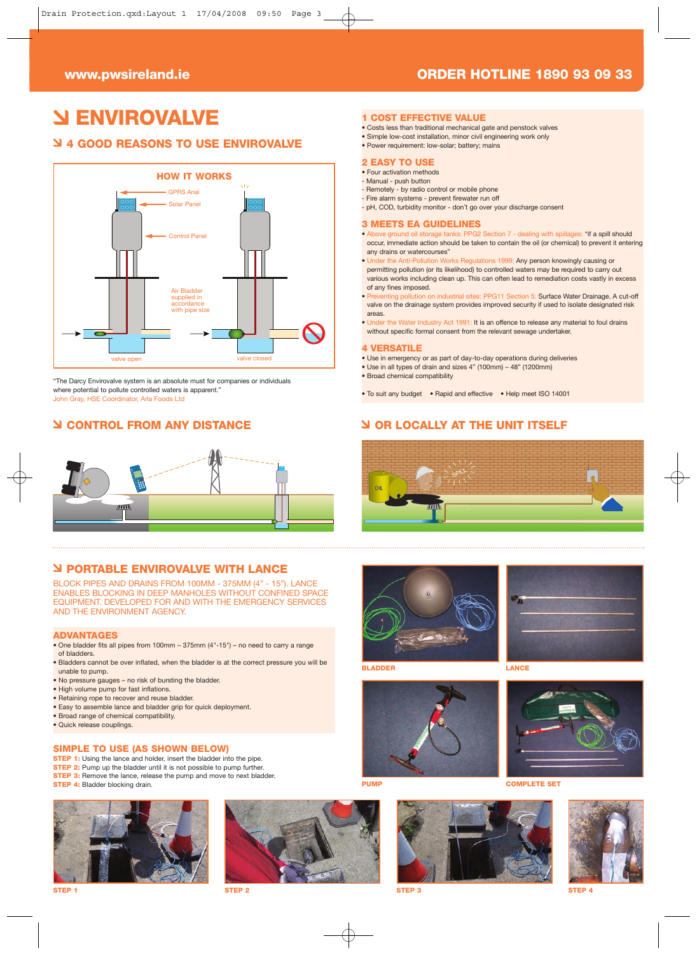# **ENVIROVALVE**

#### **4 GOOD REASONS TO USE ENVIROVALVE**



"The Darcy Envirovalve system is an absolute must for companies or individuals where potential to pollute controlled waters is apparent." John Gray, HSE Coordinator, Arla Foods Ltd

#### **CONTROL FROM ANY DISTANCE**



#### **PORTABLE ENVIROVALVE WITH LANCE**

BLOCK PIPES AND DRAINS FROM 100MM - 375MM (4" - 15"). LANCE ENABLES BLOCKING IN DEEP MANHOLES WITHOUT CONFINED SPACE EQUIPMENT. DEVELOPED FOR AND WITH THE EMERGENCY SERVICES AND THE ENVIRONMENT AGENCY.

#### **ADVANTAGES**

- One bladder fits all pipes from 100mm 375mm (4"-15") no need to carry a range of bladders.
- Bladders cannot be over inflated, when the bladder is at the correct pressure you will be unable to pump.
- No pressure gauges no risk of bursting the bladder.
- High volume pump for fast inflations.
- Retaining rope to recover and reuse bladder.
- Easy to assemble lance and bladder grip for quick deployment.
- Broad range of chemical compatibility.
- Quick release couplings.

#### **SIMPLE TO USE (AS SHOWN BELOW)**

- **STEP 1:** Using the lance and holder, insert the bladder into the pipe.
- **STEP 2:** Pump up the bladder until it is not possible to pump further **STEP 3:** Remove the lance, release the pump and move to next bladder.
- 
- **STEP 4:** Bladder blocking drain.







#### **www.pwsireland.ie ORDER HOTLINE 1890 93 09 33**

#### **1 COST EFFECTIVE VALUE**

- Costs less than traditional mechanical gate and penstock valves
- Simple low-cost installation, minor civil engineering work only
- Power requirement: low-solar; battery; mains
- **2 EASY TO USE**
- Four activation methods
- Manual push button
- Remotely by radio control or mobile phone - Fire alarm systems - prevent firewater run off
- pH, COD, turbidity monitor don't go over your discharge consent

#### **3 MEETS EA GUIDELINES**

- Above ground oil storage tanks: PPG2 Section 7 dealing with spillages: "if a spill should occur, immediate action should be taken to contain the oil (or chemical) to prevent it entering any drains or watercourses"
- Works Regulations 1999: Any person knowingly causing or permitting pollution (or its likelihood) to controlled waters may be required to carry out various works including clean up. This can often lead to remediation costs vastly in excess
- of any fines imposed. reflution of the sites: PPG11 Section 5: Surface Water Drainage. A cut-off
- valve on the drainage system provides improved security if used to isolate designated risk areas.
- Under the Water Industry Act 1991: It is an offence to release any material to foul drains without specific formal consent from the relevant sewage undertaker.

#### **4 VERSATILE**

- Use in emergency or as part of day-to-day operations during deliveries
- Use in all types of drain and sizes 4" (100mm) 48" (1200mm)
- Broad chemical compatibility
- To suit any budget Rapid and effective Help meet ISO 14001

#### **OR LOCALLY AT THE UNIT ITSELF**







**BLADDER LANCE**







**STEP 1 STEP 2 STEP 3 STEP 4**